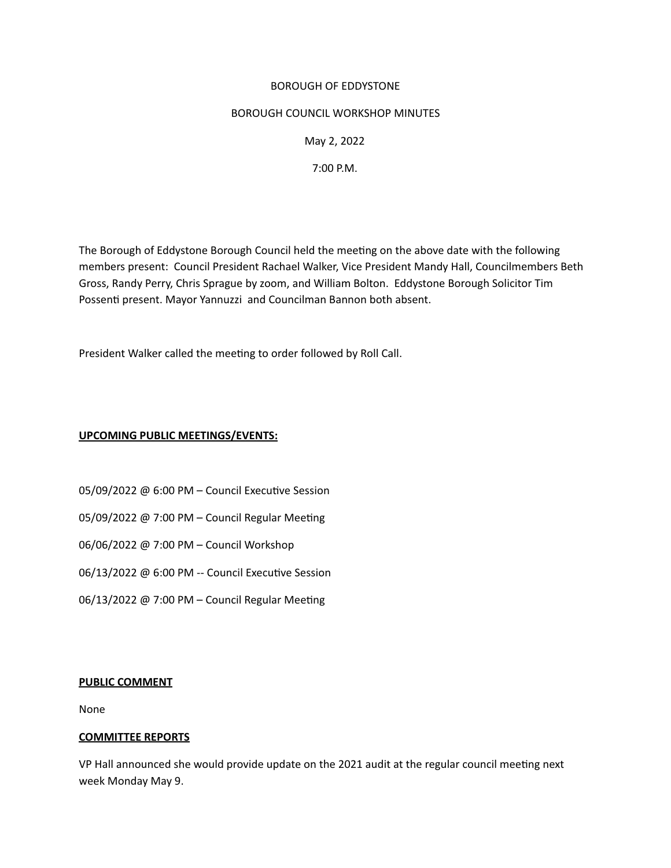### BOROUGH OF EDDYSTONE

#### BOROUGH COUNCIL WORKSHOP MINUTES

May 2, 2022

7:00 P.M.

The Borough of Eddystone Borough Council held the meetng on the above date with the following members present: Council President Rachael Walker, Vice President Mandy Hall, Councilmembers Beth Gross, Randy Perry, Chris Sprague by zoom, and William Bolton. Eddystone Borough Solicitor Tim Possenti present. Mayor Yannuzzi and Councilman Bannon both absent.

President Walker called the meeting to order followed by Roll Call.

### **UPCOMING PUBLIC MEETINGS/EVENTS:**

- 05/09/2022 @ 6:00 PM Council Executive Session
- 05/09/2022 @ 7:00 PM Council Regular Meeting
- 06/06/2022 @ 7:00 PM Council Workshop
- 06/13/2022 @ 6:00 PM -- Council Executive Session
- 06/13/2022 @ 7:00 PM Council Regular Meeting

#### **PUBLIC COMMENT**

None

# **COMMITTEE REPORTS**

VP Hall announced she would provide update on the 2021 audit at the regular council meetng next week Monday May 9.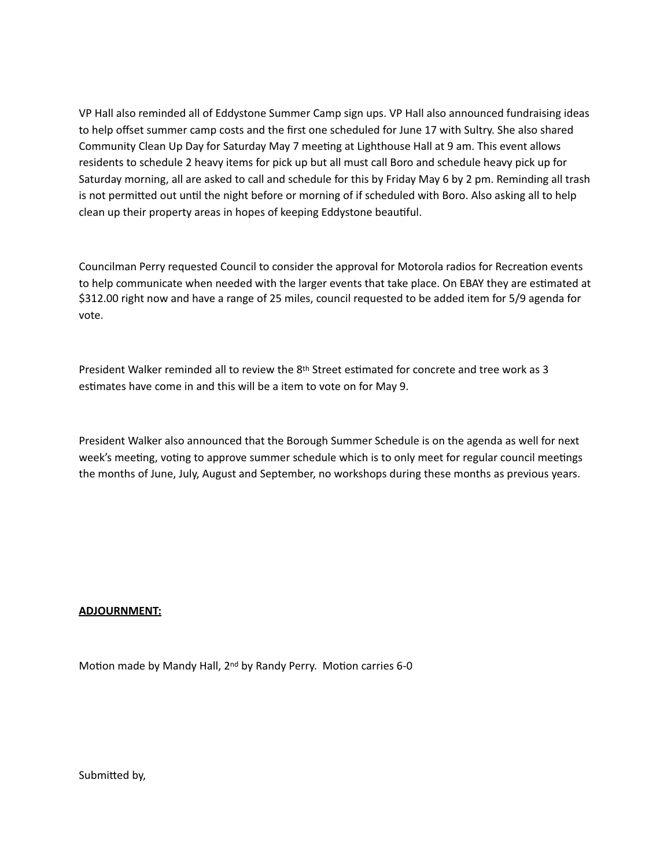VP Hall also reminded all of Eddystone Summer Camp sign ups. VP Hall also announced fundraising ideas to help offset summer camp costs and the first one scheduled for June 17 with Sultry. She also shared Community Clean Up Day for Saturday May 7 meetng at Lighthouse Hall at 9 am. This event allows residents to schedule 2 heavy items for pick up but all must call Boro and schedule heavy pick up for Saturday morning, all are asked to call and schedule for this by Friday May 6 by 2 pm. Reminding all trash is not permitted out until the night before or morning of if scheduled with Boro. Also asking all to help clean up their property areas in hopes of keeping Eddystone beautful.

Councilman Perry requested Council to consider the approval for Motorola radios for Recreaton events to help communicate when needed with the larger events that take place. On EBAY they are estmated at \$312.00 right now and have a range of 25 miles, council requested to be added item for 5/9 agenda for vote. 

President Walker reminded all to review the 8th Street estmated for concrete and tree work as 3 estmates have come in and this will be a item to vote on for May 9.

President Walker also announced that the Borough Summer Schedule is on the agenda as well for next week's meeting, voting to approve summer schedule which is to only meet for regular council meetings the months of June, July, August and September, no workshops during these months as previous years.

# **ADJOURNMENT:**

Motion made by Mandy Hall, 2<sup>nd</sup> by Randy Perry. Motion carries 6-0

Submited by,